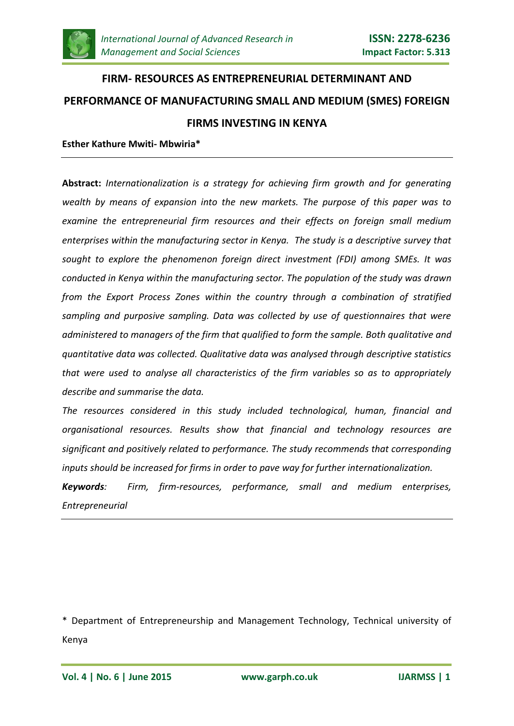

# **FIRM- RESOURCES AS ENTREPRENEURIAL DETERMINANT AND PERFORMANCE OF MANUFACTURING SMALL AND MEDIUM (SMES) FOREIGN FIRMS INVESTING IN KENYA**

#### **Esther Kathure Mwiti- Mbwiria\***

**Abstract:** *Internationalization is a strategy for achieving firm growth and for generating wealth by means of expansion into the new markets. The purpose of this paper was to examine the entrepreneurial firm resources and their effects on foreign small medium enterprises within the manufacturing sector in Kenya. The study is a descriptive survey that sought to explore the phenomenon foreign direct investment (FDI) among SMEs. It was conducted in Kenya within the manufacturing sector. The population of the study was drawn from the Export Process Zones within the country through a combination of stratified sampling and purposive sampling. Data was collected by use of questionnaires that were administered to managers of the firm that qualified to form the sample. Both qualitative and quantitative data was collected. Qualitative data was analysed through descriptive statistics that were used to analyse all characteristics of the firm variables so as to appropriately describe and summarise the data.*

*The resources considered in this study included technological, human, financial and organisational resources. Results show that financial and technology resources are significant and positively related to performance. The study recommends that corresponding inputs should be increased for firms in order to pave way for further internationalization.*

*Keywords: Firm, firm-resources, performance, small and medium enterprises, Entrepreneurial*

\* Department of Entrepreneurship and Management Technology, Technical university of Kenya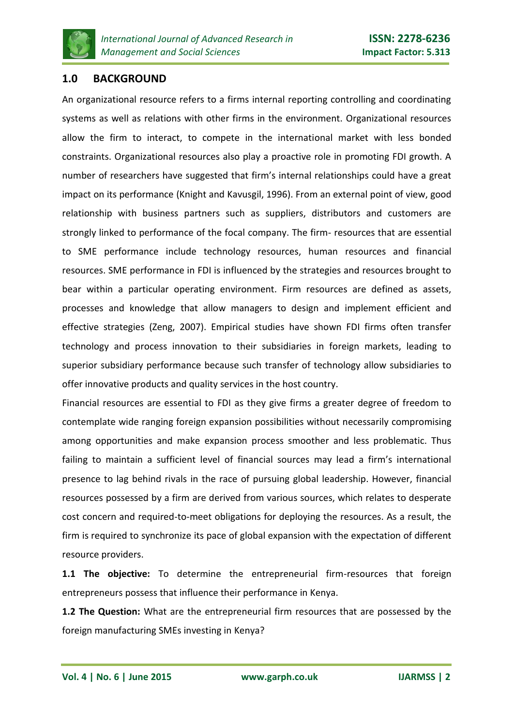

## **1.0 BACKGROUND**

An organizational resource refers to a firms internal reporting controlling and coordinating systems as well as relations with other firms in the environment. Organizational resources allow the firm to interact, to compete in the international market with less bonded constraints. Organizational resources also play a proactive role in promoting FDI growth. A number of researchers have suggested that firm's internal relationships could have a great impact on its performance (Knight and Kavusgil, 1996). From an external point of view, good relationship with business partners such as suppliers, distributors and customers are strongly linked to performance of the focal company. The firm- resources that are essential to SME performance include technology resources, human resources and financial resources. SME performance in FDI is influenced by the strategies and resources brought to bear within a particular operating environment. Firm resources are defined as assets, processes and knowledge that allow managers to design and implement efficient and effective strategies (Zeng, 2007). Empirical studies have shown FDI firms often transfer technology and process innovation to their subsidiaries in foreign markets, leading to superior subsidiary performance because such transfer of technology allow subsidiaries to offer innovative products and quality services in the host country.

Financial resources are essential to FDI as they give firms a greater degree of freedom to contemplate wide ranging foreign expansion possibilities without necessarily compromising among opportunities and make expansion process smoother and less problematic. Thus failing to maintain a sufficient level of financial sources may lead a firm's international presence to lag behind rivals in the race of pursuing global leadership. However, financial resources possessed by a firm are derived from various sources, which relates to desperate cost concern and required-to-meet obligations for deploying the resources. As a result, the firm is required to synchronize its pace of global expansion with the expectation of different resource providers.

**1.1 The objective:** To determine the entrepreneurial firm-resources that foreign entrepreneurs possess that influence their performance in Kenya.

**1.2 The Question:** What are the entrepreneurial firm resources that are possessed by the foreign manufacturing SMEs investing in Kenya?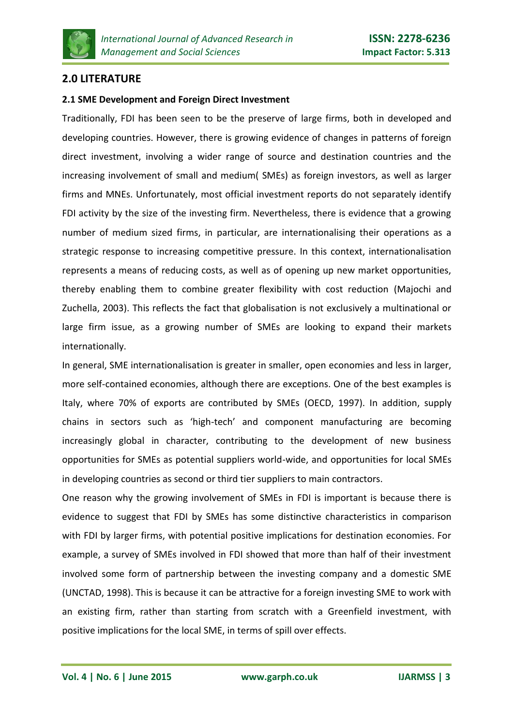

# **2.0 LITERATURE**

#### **2.1 SME Development and Foreign Direct Investment**

Traditionally, FDI has been seen to be the preserve of large firms, both in developed and developing countries. However, there is growing evidence of changes in patterns of foreign direct investment, involving a wider range of source and destination countries and the increasing involvement of small and medium( SMEs) as foreign investors, as well as larger firms and MNEs. Unfortunately, most official investment reports do not separately identify FDI activity by the size of the investing firm. Nevertheless, there is evidence that a growing number of medium sized firms, in particular, are internationalising their operations as a strategic response to increasing competitive pressure. In this context, internationalisation represents a means of reducing costs, as well as of opening up new market opportunities, thereby enabling them to combine greater flexibility with cost reduction (Majochi and Zuchella, 2003). This reflects the fact that globalisation is not exclusively a multinational or large firm issue, as a growing number of SMEs are looking to expand their markets internationally.

In general, SME internationalisation is greater in smaller, open economies and less in larger, more self-contained economies, although there are exceptions. One of the best examples is Italy, where 70% of exports are contributed by SMEs (OECD, 1997). In addition, supply chains in sectors such as 'high-tech' and component manufacturing are becoming increasingly global in character, contributing to the development of new business opportunities for SMEs as potential suppliers world-wide, and opportunities for local SMEs in developing countries as second or third tier suppliers to main contractors.

One reason why the growing involvement of SMEs in FDI is important is because there is evidence to suggest that FDI by SMEs has some distinctive characteristics in comparison with FDI by larger firms, with potential positive implications for destination economies. For example, a survey of SMEs involved in FDI showed that more than half of their investment involved some form of partnership between the investing company and a domestic SME (UNCTAD, 1998). This is because it can be attractive for a foreign investing SME to work with an existing firm, rather than starting from scratch with a Greenfield investment, with positive implications for the local SME, in terms of spill over effects.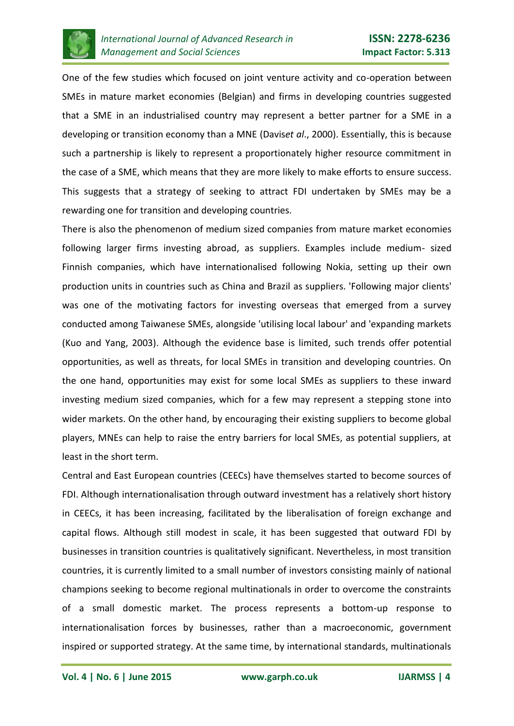

One of the few studies which focused on joint venture activity and co-operation between SMEs in mature market economies (Belgian) and firms in developing countries suggested that a SME in an industrialised country may represent a better partner for a SME in a developing or transition economy than a MNE (Davis*et al*., 2000). Essentially, this is because such a partnership is likely to represent a proportionately higher resource commitment in the case of a SME, which means that they are more likely to make efforts to ensure success. This suggests that a strategy of seeking to attract FDI undertaken by SMEs may be a rewarding one for transition and developing countries.

There is also the phenomenon of medium sized companies from mature market economies following larger firms investing abroad, as suppliers. Examples include medium- sized Finnish companies, which have internationalised following Nokia, setting up their own production units in countries such as China and Brazil as suppliers. 'Following major clients' was one of the motivating factors for investing overseas that emerged from a survey conducted among Taiwanese SMEs, alongside 'utilising local labour' and 'expanding markets (Kuo and Yang, 2003). Although the evidence base is limited, such trends offer potential opportunities, as well as threats, for local SMEs in transition and developing countries. On the one hand, opportunities may exist for some local SMEs as suppliers to these inward investing medium sized companies, which for a few may represent a stepping stone into wider markets. On the other hand, by encouraging their existing suppliers to become global players, MNEs can help to raise the entry barriers for local SMEs, as potential suppliers, at least in the short term.

Central and East European countries (CEECs) have themselves started to become sources of FDI. Although internationalisation through outward investment has a relatively short history in CEECs, it has been increasing, facilitated by the liberalisation of foreign exchange and capital flows. Although still modest in scale, it has been suggested that outward FDI by businesses in transition countries is qualitatively significant. Nevertheless, in most transition countries, it is currently limited to a small number of investors consisting mainly of national champions seeking to become regional multinationals in order to overcome the constraints of a small domestic market. The process represents a bottom-up response to internationalisation forces by businesses, rather than a macroeconomic, government inspired or supported strategy. At the same time, by international standards, multinationals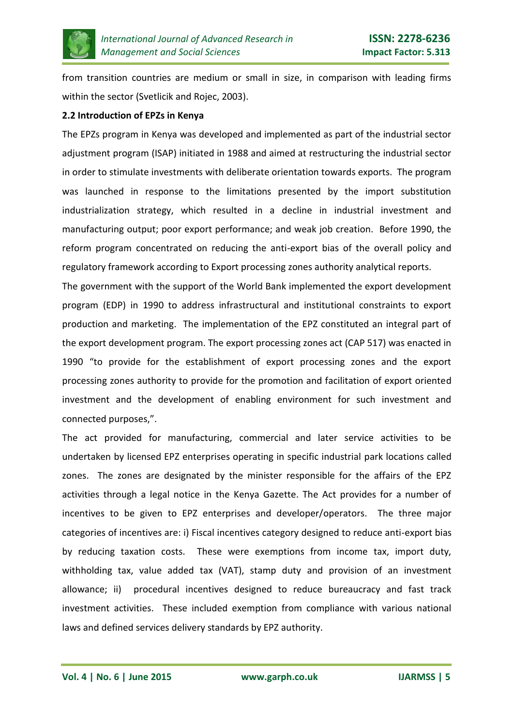

from transition countries are medium or small in size, in comparison with leading firms within the sector (Svetlicik and Rojec, 2003).

#### **2.2 Introduction of EPZs in Kenya**

The EPZs program in Kenya was developed and implemented as part of the industrial sector adjustment program (ISAP) initiated in 1988 and aimed at restructuring the industrial sector in order to stimulate investments with deliberate orientation towards exports. The program was launched in response to the limitations presented by the import substitution industrialization strategy, which resulted in a decline in industrial investment and manufacturing output; poor export performance; and weak job creation. Before 1990, the reform program concentrated on reducing the anti-export bias of the overall policy and regulatory framework according to Export processing zones authority analytical reports.

The government with the support of the World Bank implemented the export development program (EDP) in 1990 to address infrastructural and institutional constraints to export production and marketing. The implementation of the EPZ constituted an integral part of the export development program. The export processing zones act (CAP 517) was enacted in 1990 "to provide for the establishment of export processing zones and the export processing zones authority to provide for the promotion and facilitation of export oriented investment and the development of enabling environment for such investment and connected purposes,".

The act provided for manufacturing, commercial and later service activities to be undertaken by licensed EPZ enterprises operating in specific industrial park locations called zones. The zones are designated by the minister responsible for the affairs of the EPZ activities through a legal notice in the Kenya Gazette. The Act provides for a number of incentives to be given to EPZ enterprises and developer/operators. The three major categories of incentives are: i) Fiscal incentives category designed to reduce anti-export bias by reducing taxation costs. These were exemptions from income tax, import duty, withholding tax, value added tax (VAT), stamp duty and provision of an investment allowance; ii) procedural incentives designed to reduce bureaucracy and fast track investment activities. These included exemption from compliance with various national laws and defined services delivery standards by EPZ authority.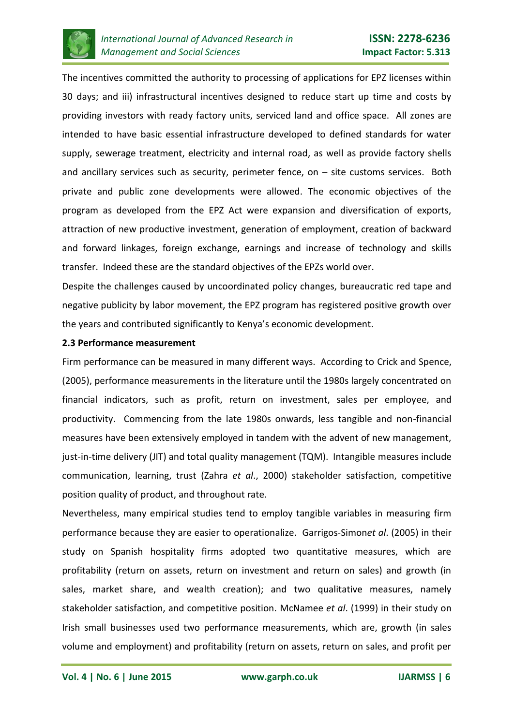

The incentives committed the authority to processing of applications for EPZ licenses within 30 days; and iii) infrastructural incentives designed to reduce start up time and costs by providing investors with ready factory units, serviced land and office space. All zones are intended to have basic essential infrastructure developed to defined standards for water supply, sewerage treatment, electricity and internal road, as well as provide factory shells and ancillary services such as security, perimeter fence, on  $-$  site customs services. Both private and public zone developments were allowed. The economic objectives of the program as developed from the EPZ Act were expansion and diversification of exports, attraction of new productive investment, generation of employment, creation of backward and forward linkages, foreign exchange, earnings and increase of technology and skills transfer. Indeed these are the standard objectives of the EPZs world over.

Despite the challenges caused by uncoordinated policy changes, bureaucratic red tape and negative publicity by labor movement, the EPZ program has registered positive growth over the years and contributed significantly to Kenya's economic development.

#### **2.3 Performance measurement**

Firm performance can be measured in many different ways. According to Crick and Spence, (2005), performance measurements in the literature until the 1980s largely concentrated on financial indicators, such as profit, return on investment, sales per employee, and productivity. Commencing from the late 1980s onwards, less tangible and non-financial measures have been extensively employed in tandem with the advent of new management, just-in-time delivery (JIT) and total quality management (TQM). Intangible measures include communication, learning, trust (Zahra *et al*., 2000) stakeholder satisfaction, competitive position quality of product, and throughout rate.

Nevertheless, many empirical studies tend to employ tangible variables in measuring firm performance because they are easier to operationalize. Garrigos-Simon*et al*. (2005) in their study on Spanish hospitality firms adopted two quantitative measures, which are profitability (return on assets, return on investment and return on sales) and growth (in sales, market share, and wealth creation); and two qualitative measures, namely stakeholder satisfaction, and competitive position. McNamee *et al*. (1999) in their study on Irish small businesses used two performance measurements, which are, growth (in sales volume and employment) and profitability (return on assets, return on sales, and profit per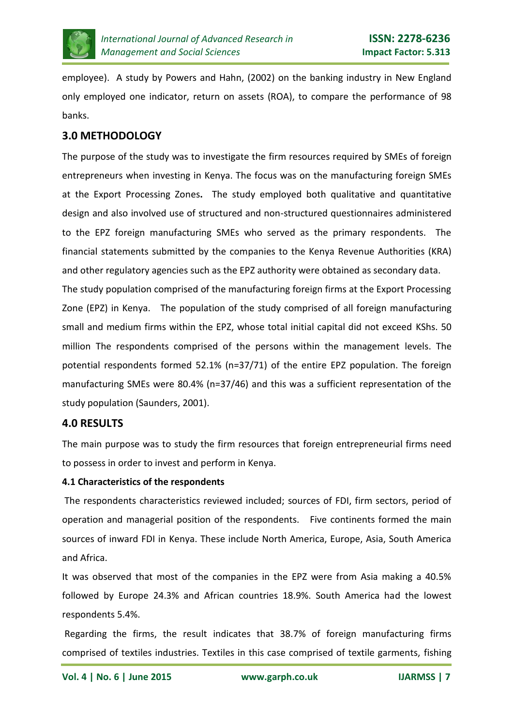

employee). A study by Powers and Hahn, (2002) on the banking industry in New England only employed one indicator, return on assets (ROA), to compare the performance of 98 banks.

# **3.0 METHODOLOGY**

The purpose of the study was to investigate the firm resources required by SMEs of foreign entrepreneurs when investing in Kenya. The focus was on the manufacturing foreign SMEs at the Export Processing Zones**.** The study employed both qualitative and quantitative design and also involved use of structured and non-structured questionnaires administered to the EPZ foreign manufacturing SMEs who served as the primary respondents. The financial statements submitted by the companies to the Kenya Revenue Authorities (KRA) and other regulatory agencies such as the EPZ authority were obtained as secondary data.

The study population comprised of the manufacturing foreign firms at the Export Processing Zone (EPZ) in Kenya. The population of the study comprised of all foreign manufacturing small and medium firms within the EPZ, whose total initial capital did not exceed KShs. 50 million The respondents comprised of the persons within the management levels. The potential respondents formed 52.1% (n=37/71) of the entire EPZ population. The foreign manufacturing SMEs were 80.4% (n=37/46) and this was a sufficient representation of the study population (Saunders, 2001).

### **4.0 RESULTS**

The main purpose was to study the firm resources that foreign entrepreneurial firms need to possess in order to invest and perform in Kenya.

#### **4.1 Characteristics of the respondents**

The respondents characteristics reviewed included; sources of FDI, firm sectors, period of operation and managerial position of the respondents. Five continents formed the main sources of inward FDI in Kenya. These include North America, Europe, Asia, South America and Africa.

It was observed that most of the companies in the EPZ were from Asia making a 40.5% followed by Europe 24.3% and African countries 18.9%. South America had the lowest respondents 5.4%.

Regarding the firms, the result indicates that 38.7% of foreign manufacturing firms comprised of textiles industries. Textiles in this case comprised of textile garments, fishing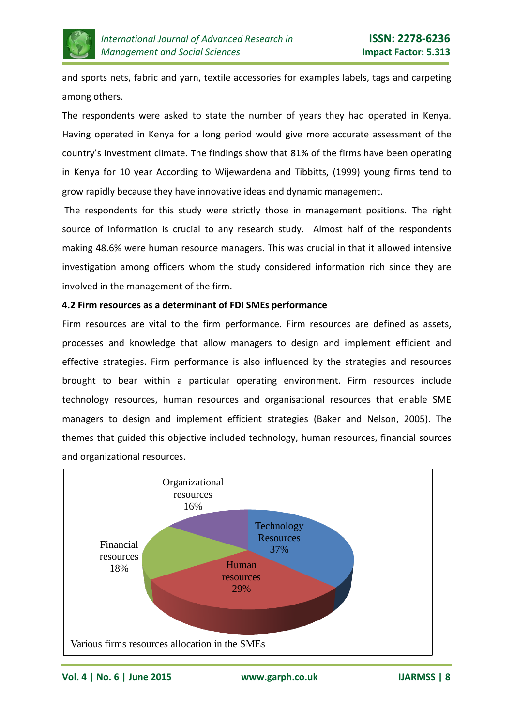

and sports nets, fabric and yarn, textile accessories for examples labels, tags and carpeting among others.

The respondents were asked to state the number of years they had operated in Kenya. Having operated in Kenya for a long period would give more accurate assessment of the country's investment climate. The findings show that 81% of the firms have been operating in Kenya for 10 year According to Wijewardena and Tibbitts, (1999) young firms tend to grow rapidly because they have innovative ideas and dynamic management.

The respondents for this study were strictly those in management positions. The right source of information is crucial to any research study. Almost half of the respondents making 48.6% were human resource managers. This was crucial in that it allowed intensive investigation among officers whom the study considered information rich since they are involved in the management of the firm.

#### **4.2 Firm resources as a determinant of FDI SMEs performance**

Firm resources are vital to the firm performance. Firm resources are defined as assets, processes and knowledge that allow managers to design and implement efficient and effective strategies. Firm performance is also influenced by the strategies and resources brought to bear within a particular operating environment. Firm resources include technology resources, human resources and organisational resources that enable SME managers to design and implement efficient strategies (Baker and Nelson, 2005). The themes that guided this objective included technology, human resources, financial sources and organizational resources.



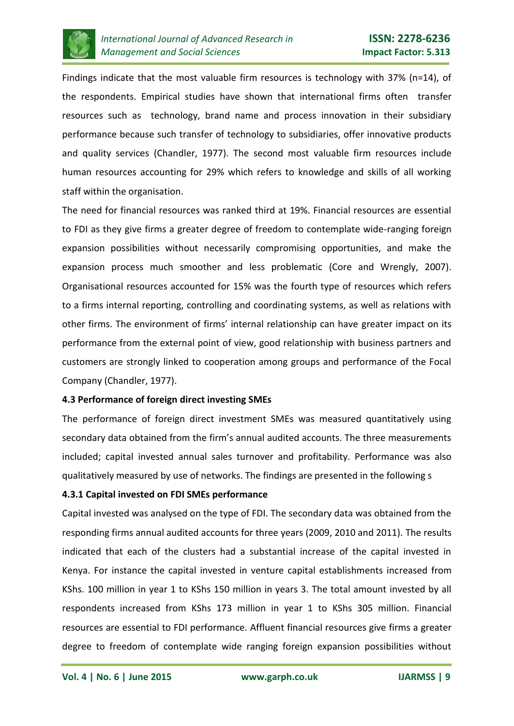

Findings indicate that the most valuable firm resources is technology with 37% (n=14), of the respondents. Empirical studies have shown that international firms often transfer resources such as technology, brand name and process innovation in their subsidiary performance because such transfer of technology to subsidiaries, offer innovative products and quality services (Chandler, 1977). The second most valuable firm resources include human resources accounting for 29% which refers to knowledge and skills of all working staff within the organisation.

The need for financial resources was ranked third at 19%. Financial resources are essential to FDI as they give firms a greater degree of freedom to contemplate wide-ranging foreign expansion possibilities without necessarily compromising opportunities, and make the expansion process much smoother and less problematic (Core and Wrengly, 2007). Organisational resources accounted for 15% was the fourth type of resources which refers to a firms internal reporting, controlling and coordinating systems, as well as relations with other firms. The environment of firms' internal relationship can have greater impact on its performance from the external point of view, good relationship with business partners and customers are strongly linked to cooperation among groups and performance of the Focal Company (Chandler, 1977).

#### **4.3 Performance of foreign direct investing SMEs**

The performance of foreign direct investment SMEs was measured quantitatively using secondary data obtained from the firm's annual audited accounts. The three measurements included; capital invested annual sales turnover and profitability. Performance was also qualitatively measured by use of networks. The findings are presented in the following s

#### **4.3.1 Capital invested on FDI SMEs performance**

Capital invested was analysed on the type of FDI. The secondary data was obtained from the responding firms annual audited accounts for three years (2009, 2010 and 2011). The results indicated that each of the clusters had a substantial increase of the capital invested in Kenya. For instance the capital invested in venture capital establishments increased from KShs. 100 million in year 1 to KShs 150 million in years 3. The total amount invested by all respondents increased from KShs 173 million in year 1 to KShs 305 million. Financial resources are essential to FDI performance. Affluent financial resources give firms a greater degree to freedom of contemplate wide ranging foreign expansion possibilities without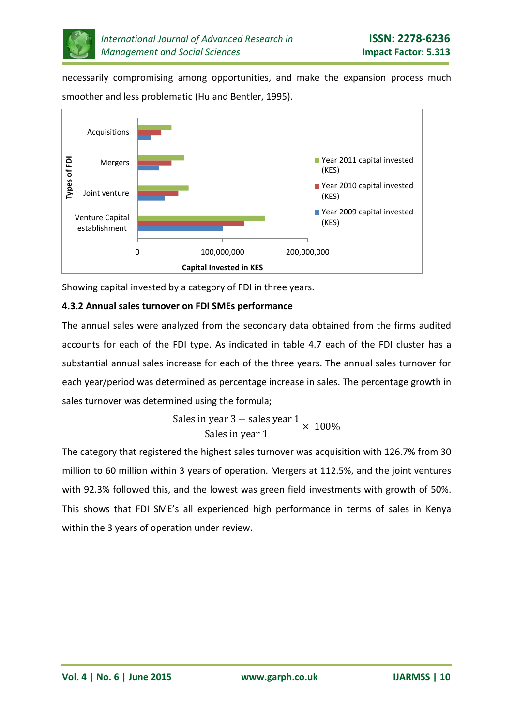

necessarily compromising among opportunities, and make the expansion process much smoother and less problematic (Hu and Bentler, 1995).



Showing capital invested by a category of FDI in three years.

# **4.3.2 Annual sales turnover on FDI SMEs performance**

The annual sales were analyzed from the secondary data obtained from the firms audited accounts for each of the FDI type. As indicated in table 4.7 each of the FDI cluster has a substantial annual sales increase for each of the three years. The annual sales turnover for each year/period was determined as percentage increase in sales. The percentage growth in sales turnover was determined using the formula;

$$
\frac{\text{Sales in year 3} - \text{sales year 1}}{\text{Sales in year 1}} \times 100\%
$$

The category that registered the highest sales turnover was acquisition with 126.7% from 30 million to 60 million within 3 years of operation. Mergers at 112.5%, and the joint ventures with 92.3% followed this, and the lowest was green field investments with growth of 50%. This shows that FDI SME's all experienced high performance in terms of sales in Kenya within the 3 years of operation under review.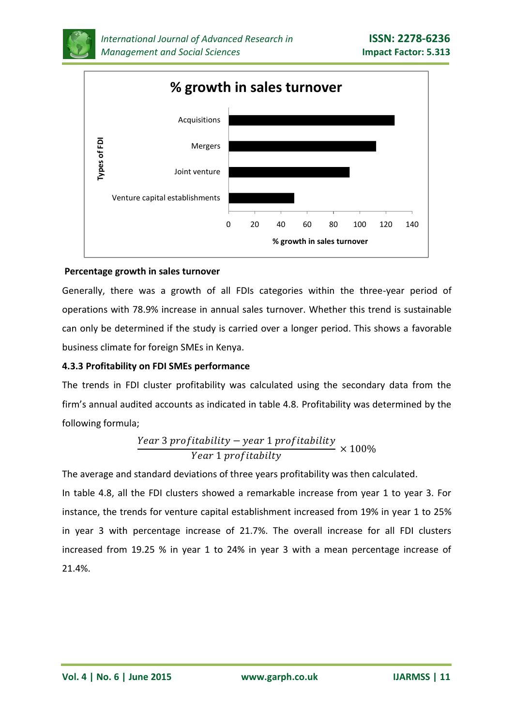



#### **Percentage growth in sales turnover**

Generally, there was a growth of all FDIs categories within the three-year period of operations with 78.9% increase in annual sales turnover. Whether this trend is sustainable can only be determined if the study is carried over a longer period. This shows a favorable business climate for foreign SMEs in Kenya.

#### **4.3.3 Profitability on FDI SMEs performance**

The trends in FDI cluster profitability was calculated using the secondary data from the firm's annual audited accounts as indicated in table 4.8. Profitability was determined by the following formula;

$$
\frac{Year\ 3\ profitability - year\ 1\ profitability}{Year\ 1\ profitability} \times 100\%
$$

The average and standard deviations of three years profitability was then calculated.

In table 4.8, all the FDI clusters showed a remarkable increase from year 1 to year 3. For instance, the trends for venture capital establishment increased from 19% in year 1 to 25% in year 3 with percentage increase of 21.7%. The overall increase for all FDI clusters increased from 19.25 % in year 1 to 24% in year 3 with a mean percentage increase of 21.4%.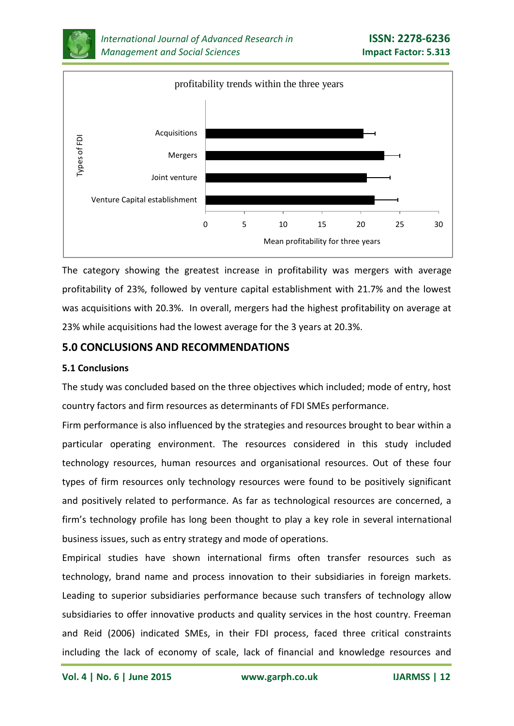



The category showing the greatest increase in profitability was mergers with average profitability of 23%, followed by venture capital establishment with 21.7% and the lowest was acquisitions with 20.3%. In overall, mergers had the highest profitability on average at 23% while acquisitions had the lowest average for the 3 years at 20.3%.

# **5.0 CONCLUSIONS AND RECOMMENDATIONS**

#### **5.1 Conclusions**

The study was concluded based on the three objectives which included; mode of entry, host country factors and firm resources as determinants of FDI SMEs performance.

Firm performance is also influenced by the strategies and resources brought to bear within a particular operating environment. The resources considered in this study included technology resources, human resources and organisational resources. Out of these four types of firm resources only technology resources were found to be positively significant and positively related to performance. As far as technological resources are concerned, a firm's technology profile has long been thought to play a key role in several international business issues, such as entry strategy and mode of operations.

Empirical studies have shown international firms often transfer resources such as technology, brand name and process innovation to their subsidiaries in foreign markets. Leading to superior subsidiaries performance because such transfers of technology allow subsidiaries to offer innovative products and quality services in the host country. Freeman and Reid (2006) indicated SMEs, in their FDI process, faced three critical constraints including the lack of economy of scale, lack of financial and knowledge resources and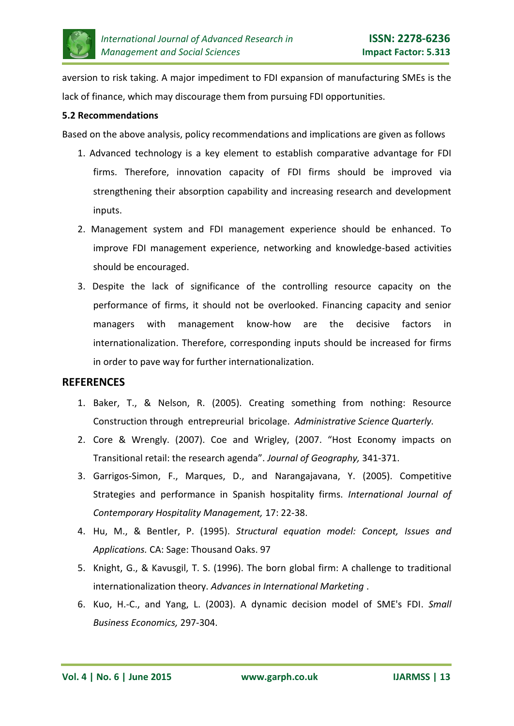

aversion to risk taking. A major impediment to FDI expansion of manufacturing SMEs is the lack of finance, which may discourage them from pursuing FDI opportunities.

#### **5.2 Recommendations**

Based on the above analysis, policy recommendations and implications are given as follows

- 1. Advanced technology is a key element to establish comparative advantage for FDI firms. Therefore, innovation capacity of FDI firms should be improved via strengthening their absorption capability and increasing research and development inputs.
- 2. Management system and FDI management experience should be enhanced. To improve FDI management experience, networking and knowledge-based activities should be encouraged.
- 3. Despite the lack of significance of the controlling resource capacity on the performance of firms, it should not be overlooked. Financing capacity and senior managers with management know-how are the decisive factors in internationalization. Therefore, corresponding inputs should be increased for firms in order to pave way for further internationalization.

#### **REFERENCES**

- 1. Baker, T., & Nelson, R. (2005). Creating something from nothing: Resource Construction through entrepreurial bricolage. *Administrative Science Quarterly.*
- 2. Core & Wrengly. (2007). Coe and Wrigley, (2007. "Host Economy impacts on Transitional retail: the research agenda". *Journal of Geography,* 341-371.
- 3. Garrigos-Simon, F., Marques, D., and Narangajavana, Y. (2005). Competitive Strategies and performance in Spanish hospitality firms. *International Journal of Contemporary Hospitality Management,* 17: 22-38.
- 4. Hu, M., & Bentler, P. (1995). *Structural equation model: Concept, Issues and Applications.* CA: Sage: Thousand Oaks. 97
- 5. Knight, G., & Kavusgil, T. S. (1996). The born global firm: A challenge to traditional internationalization theory. *Advances in International Marketing* .
- 6. Kuo, H.-C., and Yang, L. (2003). A dynamic decision model of SME's FDI. *Small Business Economics,* 297-304.